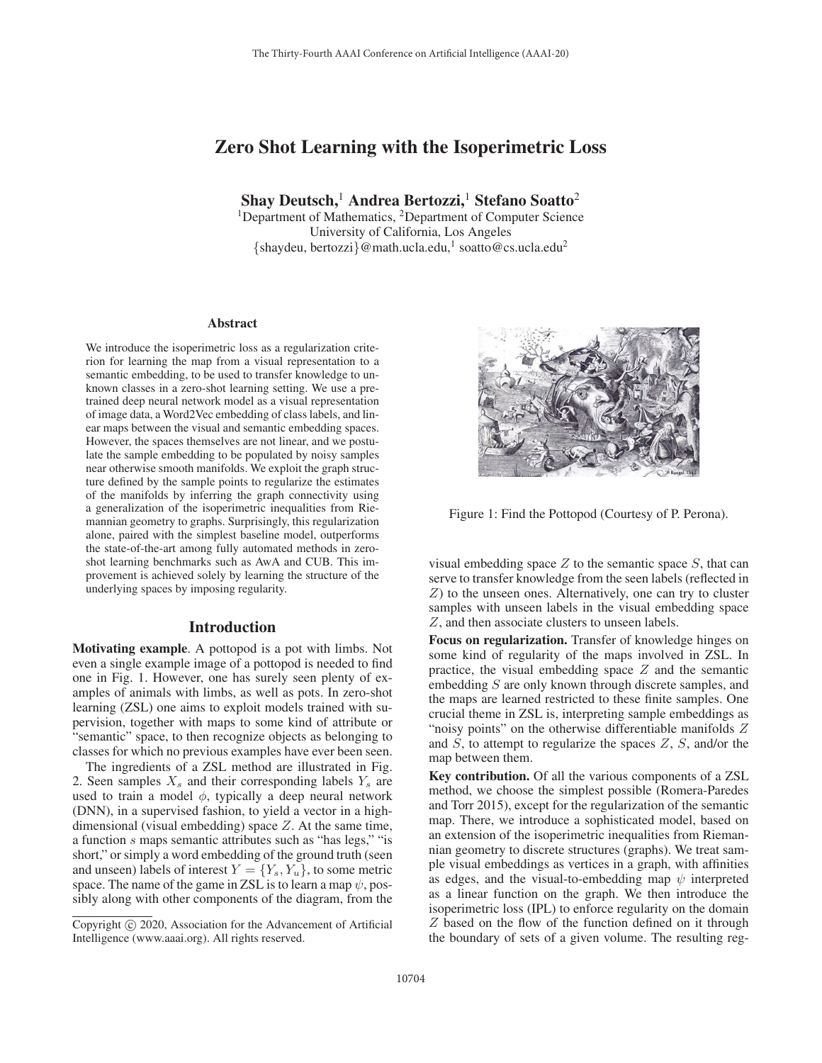# Zero Shot Learning with the Isoperimetric Loss

Shay Deutsch,<sup>1</sup> Andrea Bertozzi,<sup>1</sup> Stefano Soatto<sup>2</sup>

<sup>1</sup>Department of Mathematics, <sup>2</sup>Department of Computer Science University of California, Los Angeles  ${s$ haydeu, bertozzi}@math.ucla.edu,<sup>1</sup> soatto@cs.ucla.edu<sup>2</sup>

#### Abstract

We introduce the isoperimetric loss as a regularization criterion for learning the map from a visual representation to a semantic embedding, to be used to transfer knowledge to unknown classes in a zero-shot learning setting. We use a pretrained deep neural network model as a visual representation of image data, a Word2Vec embedding of class labels, and linear maps between the visual and semantic embedding spaces. However, the spaces themselves are not linear, and we postulate the sample embedding to be populated by noisy samples near otherwise smooth manifolds. We exploit the graph structure defined by the sample points to regularize the estimates of the manifolds by inferring the graph connectivity using a generalization of the isoperimetric inequalities from Riemannian geometry to graphs. Surprisingly, this regularization alone, paired with the simplest baseline model, outperforms the state-of-the-art among fully automated methods in zeroshot learning benchmarks such as AwA and CUB. This improvement is achieved solely by learning the structure of the underlying spaces by imposing regularity.

### Introduction

Motivating example. A pottopod is a pot with limbs. Not even a single example image of a pottopod is needed to find one in Fig. 1. However, one has surely seen plenty of examples of animals with limbs, as well as pots. In zero-shot learning (ZSL) one aims to exploit models trained with supervision, together with maps to some kind of attribute or "semantic" space, to then recognize objects as belonging to classes for which no previous examples have ever been seen.

The ingredients of a ZSL method are illustrated in Fig. 2. Seen samples  $X_s$  and their corresponding labels  $Y_s$  are used to train a model  $\phi$ , typically a deep neural network (DNN), in a supervised fashion, to yield a vector in a highdimensional (visual embedding) space  $Z$ . At the same time, a function s maps semantic attributes such as "has legs," "is short," or simply a word embedding of the ground truth (seen and unseen) labels of interest  $Y = \{Y_s, Y_u\}$ , to some metric space. The name of the game in ZSL is to learn a map  $\psi$ , possibly along with other components of the diagram, from the



Figure 1: Find the Pottopod (Courtesy of P. Perona).

visual embedding space  $Z$  to the semantic space  $S$ , that can serve to transfer knowledge from the seen labels (reflected in  $Z$ ) to the unseen ones. Alternatively, one can try to cluster samples with unseen labels in the visual embedding space Z, and then associate clusters to unseen labels.

Focus on regularization. Transfer of knowledge hinges on some kind of regularity of the maps involved in ZSL. In practice, the visual embedding space  $Z$  and the semantic embedding S are only known through discrete samples, and the maps are learned restricted to these finite samples. One crucial theme in ZSL is, interpreting sample embeddings as "noisy points" on the otherwise differentiable manifolds  $Z$ and  $S$ , to attempt to regularize the spaces  $Z$ ,  $S$ , and/or the map between them.

Key contribution. Of all the various components of a ZSL method, we choose the simplest possible (Romera-Paredes and Torr 2015), except for the regularization of the semantic map. There, we introduce a sophisticated model, based on an extension of the isoperimetric inequalities from Riemannian geometry to discrete structures (graphs). We treat sample visual embeddings as vertices in a graph, with affinities as edges, and the visual-to-embedding map  $\psi$  interpreted as a linear function on the graph. We then introduce the isoperimetric loss (IPL) to enforce regularity on the domain Z based on the flow of the function defined on it through the boundary of sets of a given volume. The resulting reg-

Copyright  $\odot$  2020, Association for the Advancement of Artificial Intelligence (www.aaai.org). All rights reserved.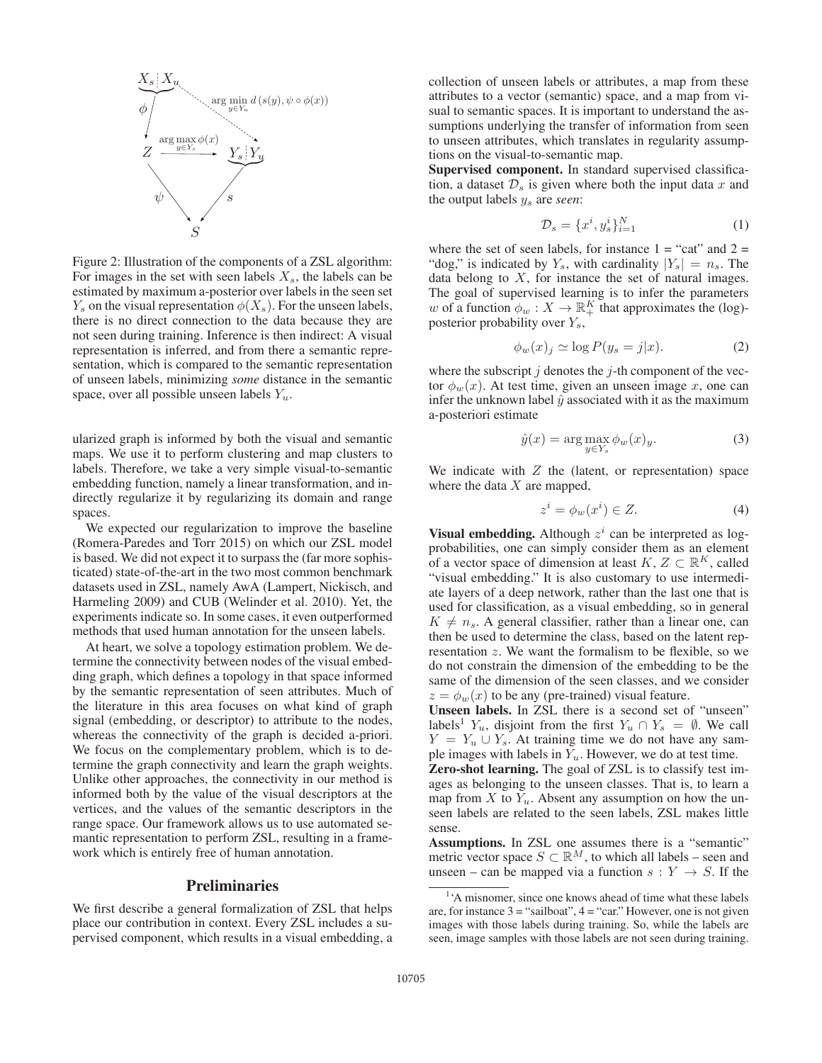

Figure 2: Illustration of the components of a ZSL algorithm: For images in the set with seen labels  $X_s$ , the labels can be estimated by maximum a-posterior over labels in the seen set  $Y_s$  on the visual representation  $\phi(X_s)$ . For the unseen labels, there is no direct connection to the data because they are not seen during training. Inference is then indirect: A visual representation is inferred, and from there a semantic representation, which is compared to the semantic representation of unseen labels, minimizing *some* distance in the semantic space, over all possible unseen labels  $Y_u$ .

ularized graph is informed by both the visual and semantic maps. We use it to perform clustering and map clusters to labels. Therefore, we take a very simple visual-to-semantic embedding function, namely a linear transformation, and indirectly regularize it by regularizing its domain and range spaces.

We expected our regularization to improve the baseline (Romera-Paredes and Torr 2015) on which our ZSL model is based. We did not expect it to surpass the (far more sophisticated) state-of-the-art in the two most common benchmark datasets used in ZSL, namely AwA (Lampert, Nickisch, and Harmeling 2009) and CUB (Welinder et al. 2010). Yet, the experiments indicate so. In some cases, it even outperformed methods that used human annotation for the unseen labels.

At heart, we solve a topology estimation problem. We determine the connectivity between nodes of the visual embedding graph, which defines a topology in that space informed by the semantic representation of seen attributes. Much of the literature in this area focuses on what kind of graph signal (embedding, or descriptor) to attribute to the nodes, whereas the connectivity of the graph is decided a-priori. We focus on the complementary problem, which is to determine the graph connectivity and learn the graph weights. Unlike other approaches, the connectivity in our method is informed both by the value of the visual descriptors at the vertices, and the values of the semantic descriptors in the range space. Our framework allows us to use automated semantic representation to perform ZSL, resulting in a framework which is entirely free of human annotation.

# **Preliminaries**

We first describe a general formalization of ZSL that helps place our contribution in context. Every ZSL includes a supervised component, which results in a visual embedding, a collection of unseen labels or attributes, a map from these attributes to a vector (semantic) space, and a map from visual to semantic spaces. It is important to understand the assumptions underlying the transfer of information from seen to unseen attributes, which translates in regularity assumptions on the visual-to-semantic map.

Supervised component. In standard supervised classification, a dataset  $\mathcal{D}_s$  is given where both the input data x and the output labels y<sup>s</sup> are *seen*:

$$
\mathcal{D}_s = \{x^i, y_s^i\}_{i=1}^N \tag{1}
$$

where the set of seen labels, for instance  $1 =$  "cat" and  $2 =$ "dog," is indicated by  $Y_s$ , with cardinality  $|Y_s| = n_s$ . The data belong to  $X$ , for instance the set of natural images. The goal of supervised learning is to infer the parameters w of a function  $\phi_w : X \to \mathbb{R}^K_+$  that approximates the (log)posterior probability over  $Y_s$ ,

$$
\phi_w(x)_j \simeq \log P(y_s = j|x). \tag{2}
$$

where the subscript  $j$  denotes the  $j$ -th component of the vector  $\phi_w(x)$ . At test time, given an unseen image x, one can infer the unknown label  $\hat{y}$  associated with it as the maximum a-posteriori estimate

$$
\hat{y}(x) = \arg \max_{y \in Y_s} \phi_w(x)_y.
$$
\n(3)

We indicate with  $Z$  the (latent, or representation) space where the data  $X$  are mapped,

$$
z^i = \phi_w(x^i) \in Z. \tag{4}
$$

Visual embedding. Although  $z^i$  can be interpreted as logprobabilities, one can simply consider them as an element of a vector space of dimension at least  $K, Z \subset \mathbb{R}^K$ , called "visual embedding." It is also customary to use intermediate layers of a deep network, rather than the last one that is used for classification, as a visual embedding, so in general  $K \neq n_s$ . A general classifier, rather than a linear one, can then be used to determine the class, based on the latent representation z. We want the formalism to be flexible, so we do not constrain the dimension of the embedding to be the same of the dimension of the seen classes, and we consider  $z = \phi_w(x)$  to be any (pre-trained) visual feature.

Unseen labels. In ZSL there is a second set of "unseen" labels<sup>1</sup>  $Y_u$ , disjoint from the first  $Y_u \cap Y_s = \emptyset$ . We call  $Y = Y_u \cup Y_s$ . At training time we do not have any sample images with labels in  $Y_u$ . However, we do at test time.

Zero-shot learning. The goal of ZSL is to classify test images as belonging to the unseen classes. That is, to learn a map from X to  $Y_u$ . Absent any assumption on how the unseen labels are related to the seen labels, ZSL makes little sense.

Assumptions. In ZSL one assumes there is a "semantic" metric vector space  $S \subset \mathbb{R}^M$ , to which all labels – seen and unseen – can be mapped via a function  $s: Y \rightarrow S$ . If the

<sup>&</sup>lt;sup>1</sup>'A misnomer, since one knows ahead of time what these labels are, for instance  $3 =$  "sailboat",  $4 =$  "car." However, one is not given images with those labels during training. So, while the labels are seen, image samples with those labels are not seen during training.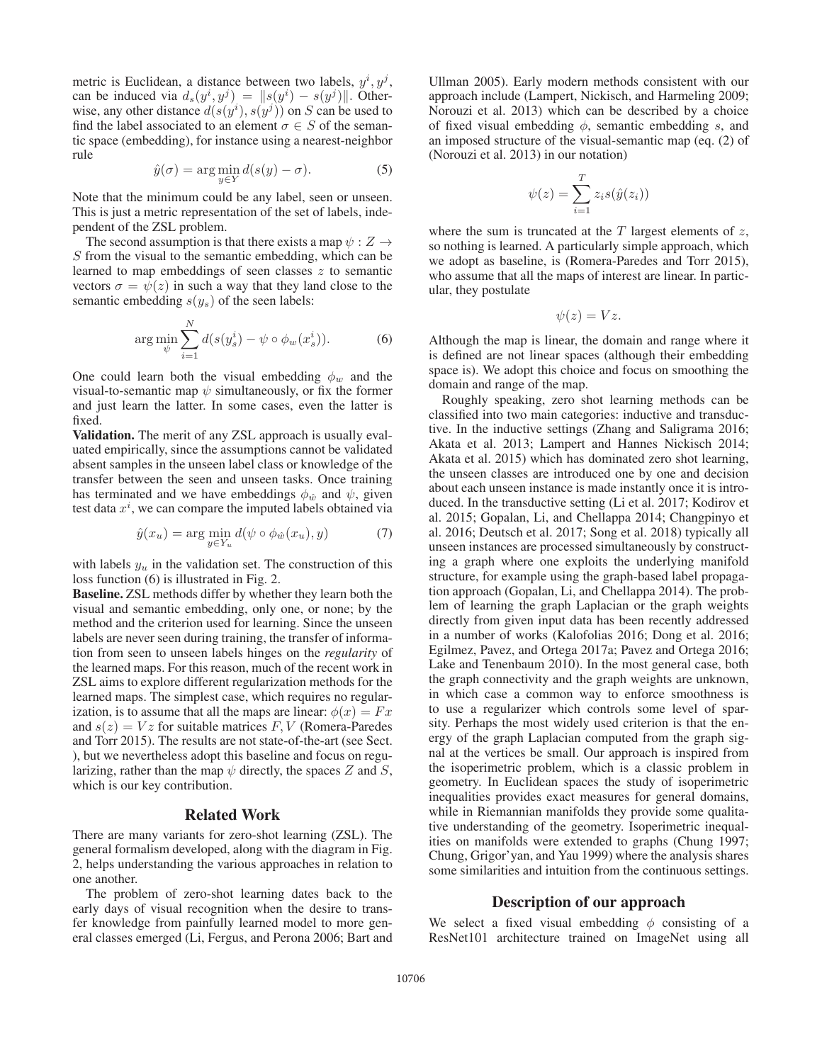metric is Euclidean, a distance between two labels,  $y^i, y^j$ , can be induced via  $d_s(y^i, y^j) = ||s(y^i) - s(y^j)||$ . Otherwise, any other distance  $d(s(y^i), s(y^j))$  on S can be used to find the label associated to an element  $\sigma \in S$  of the semantic space (embedding), for instance using a nearest-neighbor rule

$$
\hat{y}(\sigma) = \arg\min_{y \in Y} d(s(y) - \sigma).
$$
 (5)

Note that the minimum could be any label, seen or unseen. This is just a metric representation of the set of labels, independent of the ZSL problem.

The second assumption is that there exists a map  $\psi : Z \to$ S from the visual to the semantic embedding, which can be learned to map embeddings of seen classes z to semantic vectors  $\sigma = \psi(z)$  in such a way that they land close to the semantic embedding  $s(y_s)$  of the seen labels:

$$
\arg\min_{\psi} \sum_{i=1}^{N} d(s(y_s^i) - \psi \circ \phi_w(x_s^i)). \tag{6}
$$

One could learn both the visual embedding  $\phi_w$  and the visual-to-semantic map  $\psi$  simultaneously, or fix the former and just learn the latter. In some cases, even the latter is fixed.

Validation. The merit of any ZSL approach is usually evaluated empirically, since the assumptions cannot be validated absent samples in the unseen label class or knowledge of the transfer between the seen and unseen tasks. Once training has terminated and we have embeddings  $\phi_{\hat{w}}$  and  $\psi$ , given test data  $x^i$ , we can compare the imputed labels obtained via

$$
\hat{y}(x_u) = \arg\min_{y \in Y_u} d(\psi \circ \phi_{\hat{w}}(x_u), y) \tag{7}
$$

with labels  $y_u$  in the validation set. The construction of this loss function (6) is illustrated in Fig. 2.

Baseline. ZSL methods differ by whether they learn both the visual and semantic embedding, only one, or none; by the method and the criterion used for learning. Since the unseen labels are never seen during training, the transfer of information from seen to unseen labels hinges on the *regularity* of the learned maps. For this reason, much of the recent work in ZSL aims to explore different regularization methods for the learned maps. The simplest case, which requires no regularization, is to assume that all the maps are linear:  $\phi(x) = Fx$ and  $s(z) = Vz$  for suitable matrices F, V (Romera-Paredes and Torr 2015). The results are not state-of-the-art (see Sect. ), but we nevertheless adopt this baseline and focus on regularizing, rather than the map  $\psi$  directly, the spaces Z and S, which is our key contribution.

### Related Work

There are many variants for zero-shot learning (ZSL). The general formalism developed, along with the diagram in Fig. 2, helps understanding the various approaches in relation to one another.

The problem of zero-shot learning dates back to the early days of visual recognition when the desire to transfer knowledge from painfully learned model to more general classes emerged (Li, Fergus, and Perona 2006; Bart and

Ullman 2005). Early modern methods consistent with our approach include (Lampert, Nickisch, and Harmeling 2009; Norouzi et al. 2013) which can be described by a choice of fixed visual embedding  $\phi$ , semantic embedding s, and an imposed structure of the visual-semantic map (eq. (2) of (Norouzi et al. 2013) in our notation)

$$
\psi(z) = \sum_{i=1}^{T} z_i s(\hat{y}(z_i))
$$

where the sum is truncated at the  $T$  largest elements of  $z$ , so nothing is learned. A particularly simple approach, which we adopt as baseline, is (Romera-Paredes and Torr 2015), who assume that all the maps of interest are linear. In particular, they postulate

$$
\psi(z)=Vz.
$$

Although the map is linear, the domain and range where it is defined are not linear spaces (although their embedding space is). We adopt this choice and focus on smoothing the domain and range of the map.

Roughly speaking, zero shot learning methods can be classified into two main categories: inductive and transductive. In the inductive settings (Zhang and Saligrama 2016; Akata et al. 2013; Lampert and Hannes Nickisch 2014; Akata et al. 2015) which has dominated zero shot learning, the unseen classes are introduced one by one and decision about each unseen instance is made instantly once it is introduced. In the transductive setting (Li et al. 2017; Kodirov et al. 2015; Gopalan, Li, and Chellappa 2014; Changpinyo et al. 2016; Deutsch et al. 2017; Song et al. 2018) typically all unseen instances are processed simultaneously by constructing a graph where one exploits the underlying manifold structure, for example using the graph-based label propagation approach (Gopalan, Li, and Chellappa 2014). The problem of learning the graph Laplacian or the graph weights directly from given input data has been recently addressed in a number of works (Kalofolias 2016; Dong et al. 2016; Egilmez, Pavez, and Ortega 2017a; Pavez and Ortega 2016; Lake and Tenenbaum 2010). In the most general case, both the graph connectivity and the graph weights are unknown, in which case a common way to enforce smoothness is to use a regularizer which controls some level of sparsity. Perhaps the most widely used criterion is that the energy of the graph Laplacian computed from the graph signal at the vertices be small. Our approach is inspired from the isoperimetric problem, which is a classic problem in geometry. In Euclidean spaces the study of isoperimetric inequalities provides exact measures for general domains, while in Riemannian manifolds they provide some qualitative understanding of the geometry. Isoperimetric inequalities on manifolds were extended to graphs (Chung 1997; Chung, Grigor'yan, and Yau 1999) where the analysis shares some similarities and intuition from the continuous settings.

### Description of our approach

We select a fixed visual embedding  $\phi$  consisting of a ResNet101 architecture trained on ImageNet using all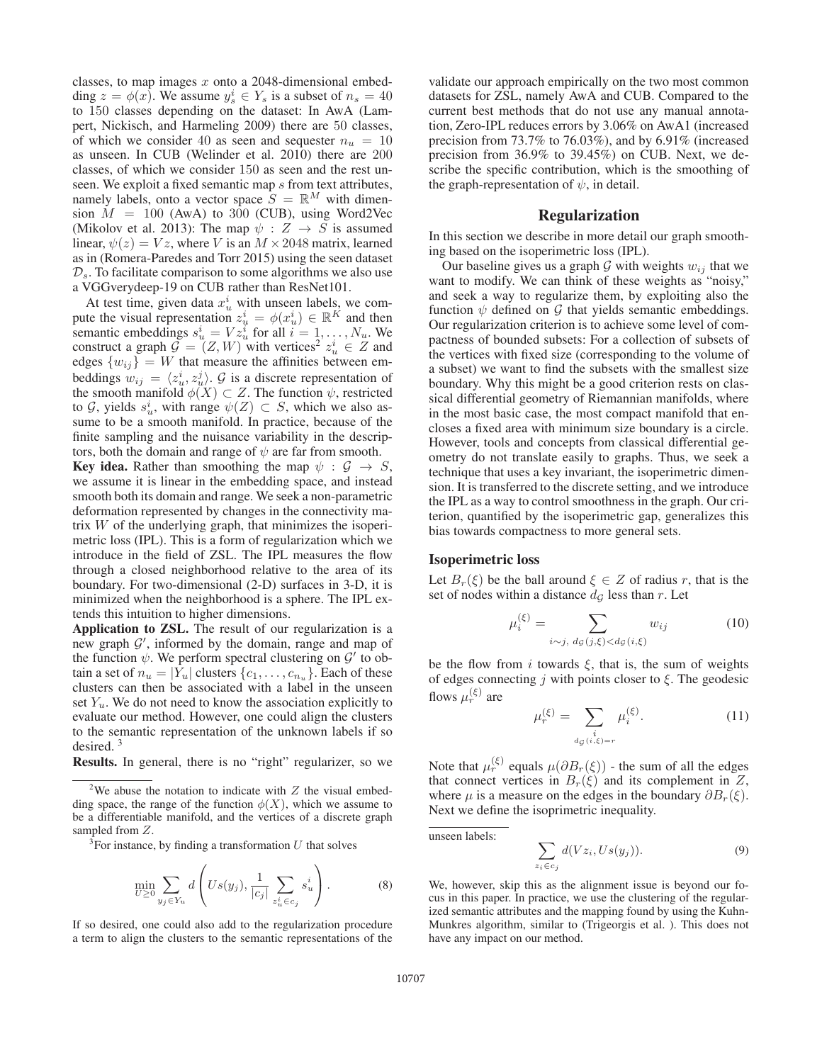classes, to map images  $x$  onto a 2048-dimensional embedding  $z = \phi(x)$ . We assume  $y_s^i \in Y_s$  is a subset of  $n_s = 40$ to 150 classes depending on the dataset: In AwA (Lampert, Nickisch, and Harmeling 2009) there are 50 classes, of which we consider 40 as seen and sequester  $n_u = 10$ as unseen. In CUB (Welinder et al. 2010) there are 200 classes, of which we consider 150 as seen and the rest unseen. We exploit a fixed semantic map s from text attributes, namely labels, onto a vector space  $S = \mathbb{R}^M$  with dimension  $M = 100$  (AwA) to 300 (CUB), using Word2Vec (Mikolov et al. 2013): The map  $\psi : Z \rightarrow S$  is assumed linear,  $\psi(z) = Vz$ , where V is an  $M \times 2048$  matrix, learned as in (Romera-Paredes and Torr 2015) using the seen dataset  $\mathcal{D}_s$ . To facilitate comparison to some algorithms we also use a VGGverydeep-19 on CUB rather than ResNet101.

At test time, given data  $x_u^i$  with unseen labels, we compute the visual representation  $z^i_u = \phi(x^i_u) \in \mathbb{R}^K$  and then semantic embeddings  $s_u^i = V z_u^i$  for all  $i = 1, \ldots, N_u$ . We construct a graph  $\mathcal{G} = (Z, W)$  with vertices<sup>2</sup>  $z_u^i \in Z$  and edges  $\{w_{ij}\} = W$  that measure the affinities between embeddings  $w_{ij} = \langle z_u^i, z_u^j \rangle$ .  $\mathcal G$  is a discrete representation of the smooth manifold  $\phi(X) \subset Z$ . The function  $\psi$ , restricted to G, yields  $s_u^i$ , with range  $\psi(Z) \subset S$ , which we also assume to be a smooth manifold. In practice, because of the finite sampling and the nuisance variability in the descriptors, both the domain and range of  $\psi$  are far from smooth.

**Key idea.** Rather than smoothing the map  $\psi : \mathcal{G} \to S$ , we assume it is linear in the embedding space, and instead smooth both its domain and range. We seek a non-parametric deformation represented by changes in the connectivity matrix  $W$  of the underlying graph, that minimizes the isoperimetric loss (IPL). This is a form of regularization which we introduce in the field of ZSL. The IPL measures the flow through a closed neighborhood relative to the area of its boundary. For two-dimensional (2-D) surfaces in 3-D, it is minimized when the neighborhood is a sphere. The IPL extends this intuition to higher dimensions.

Application to ZSL. The result of our regularization is a new graph  $\mathcal{G}'$ , informed by the domain, range and map of the function  $\psi$ . We perform spectral clustering on  $\mathcal{G}'$  to obtain a set of  $n_u = |Y_u|$  clusters  $\{c_1, \ldots, c_{n_u}\}$ . Each of these clusters can then be associated with a label in the unseen set  $Y_u$ . We do not need to know the association explicitly to evaluate our method. However, one could align the clusters to the semantic representation of the unknown labels if so desired. <sup>3</sup>

Results. In general, there is no "right" regularizer, so we

$$
\min_{U \geq 0} \sum_{y_j \in Y_u} d\left(Us(y_j), \frac{1}{|c_j|} \sum_{z_u^i \in c_j} s_u^i\right). \tag{8}
$$

If so desired, one could also add to the regularization procedure a term to align the clusters to the semantic representations of the

validate our approach empirically on the two most common datasets for ZSL, namely AwA and CUB. Compared to the current best methods that do not use any manual annotation, Zero-IPL reduces errors by 3.06% on AwA1 (increased precision from 73.7% to 76.03%), and by 6.91% (increased precision from 36.9% to 39.45%) on CUB. Next, we describe the specific contribution, which is the smoothing of the graph-representation of  $\psi$ , in detail.

#### Regularization

In this section we describe in more detail our graph smoothing based on the isoperimetric loss (IPL).

Our baseline gives us a graph  $G$  with weights  $w_{ij}$  that we want to modify. We can think of these weights as "noisy," and seek a way to regularize them, by exploiting also the function  $\psi$  defined on  $\mathcal G$  that yields semantic embeddings. Our regularization criterion is to achieve some level of compactness of bounded subsets: For a collection of subsets of the vertices with fixed size (corresponding to the volume of a subset) we want to find the subsets with the smallest size boundary. Why this might be a good criterion rests on classical differential geometry of Riemannian manifolds, where in the most basic case, the most compact manifold that encloses a fixed area with minimum size boundary is a circle. However, tools and concepts from classical differential geometry do not translate easily to graphs. Thus, we seek a technique that uses a key invariant, the isoperimetric dimension. It is transferred to the discrete setting, and we introduce the IPL as a way to control smoothness in the graph. Our criterion, quantified by the isoperimetric gap, generalizes this bias towards compactness to more general sets.

#### Isoperimetric loss

Let  $B_r(\xi)$  be the ball around  $\xi \in Z$  of radius r, that is the set of nodes within a distance  $d_{\mathcal{G}}$  less than r. Let

$$
\mu_i^{(\xi)} = \sum_{i \sim j, \ d_{\mathcal{G}}(j,\xi) < d_{\mathcal{G}}(i,\xi)} w_{ij} \tag{10}
$$

be the flow from i towards  $\xi$ , that is, the sum of weights of edges connecting  $j$  with points closer to  $\xi$ . The geodesic flows  $\mu_{r}^{(\xi)}$  are

$$
\mu_r^{(\xi)} = \sum_{\substack{i \\ d_{\mathcal{G}}(i,\xi) = r}} \mu_i^{(\xi)}.
$$
\n(11)

Note that  $\mu_r^{(\xi)}$  equals  $\mu(\partial B_r(\xi))$  - the sum of all the edges that connect vertices in  $B_r(\xi)$  and its complement in Z, where  $\mu$  is a measure on the edges in the boundary  $\partial B_r(\xi)$ . Next we define the isoprimetric inequality.

unseen labels:

$$
\sum_{z_i \in c_j} d(Vz_i, Us(y_j)).
$$
\n(9)

We, however, skip this as the alignment issue is beyond our focus in this paper. In practice, we use the clustering of the regularized semantic attributes and the mapping found by using the Kuhn-Munkres algorithm, similar to (Trigeorgis et al. ). This does not have any impact on our method.

<sup>&</sup>lt;sup>2</sup>We abuse the notation to indicate with  $Z$  the visual embedding space, the range of the function  $\phi(X)$ , which we assume to be a differentiable manifold, and the vertices of a discrete graph sampled from Z.

 $\sqrt[3]{3}$  For instance, by finding a transformation U that solves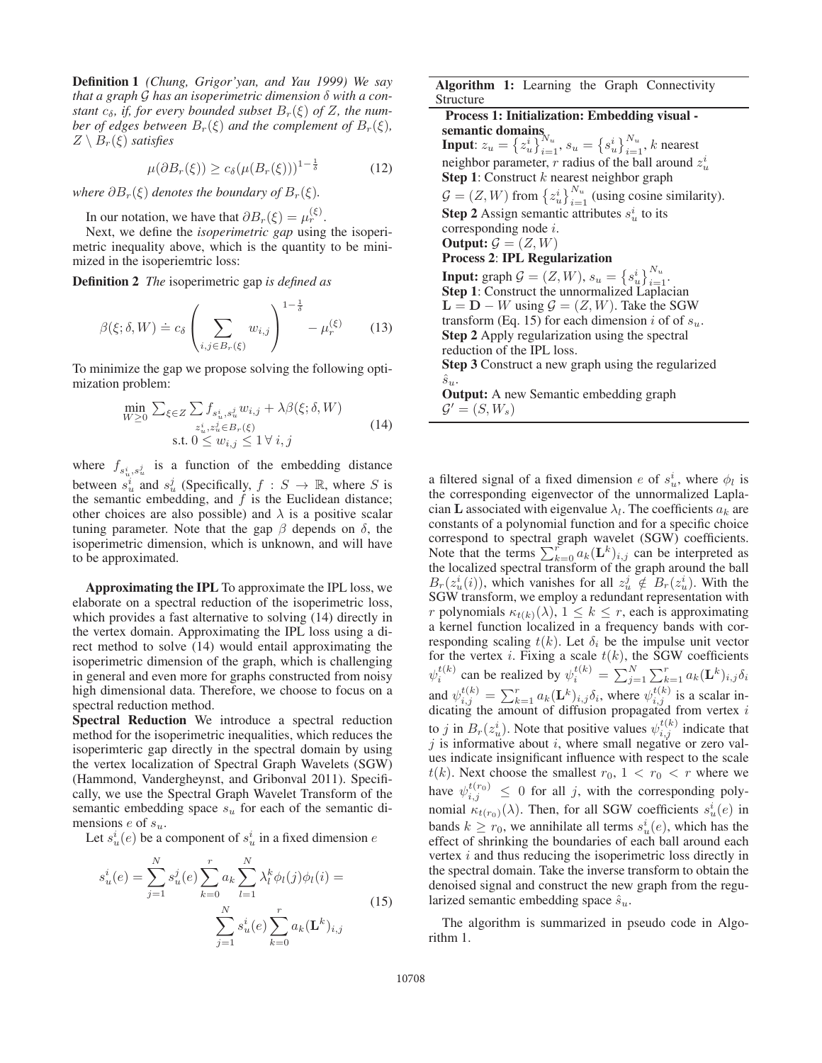Definition 1 *(Chung, Grigor'yan, and Yau 1999) We say that a graph* G *has an isoperimetric dimension* δ *with a constant*  $c_{\delta}$ *, if, for every bounded subset*  $B_r(\xi)$  *of*  $Z$ *, the number of edges between*  $B_r(\xi)$  *and the complement of*  $B_r(\xi)$ *,*  $Z \setminus B_r(\xi)$  *satisfies* 

$$
\mu(\partial B_r(\xi)) \ge c_\delta(\mu(B_r(\xi)))^{1-\frac{1}{\delta}} \tag{12}
$$

*where*  $\partial B_r(\xi)$  *denotes the boundary of*  $B_r(\xi)$ *.* 

In our notation, we have that  $\partial B_r(\xi) = \mu_r^{(\xi)}$ .

Next, we define the *isoperimetric gap* using the isoperimetric inequality above, which is the quantity to be minimized in the isoperiemtric loss:

Definition 2 *The* isoperimetric gap *is defined as*

$$
\beta(\xi;\delta,W) \doteq c_{\delta} \left(\sum_{i,j \in B_r(\xi)} w_{i,j}\right)^{1-\frac{1}{\delta}} - \mu_r^{(\xi)} \qquad (13)
$$

To minimize the gap we propose solving the following optimization problem:

$$
\min_{W \ge 0} \sum_{\xi \in Z} \sum_{i} f_{s_u^i, s_u^j} w_{i,j} + \lambda \beta(\xi; \delta, W)
$$
\n
$$
z_u^i z_u^j \in B_r(\xi)
$$
\n
$$
\text{s.t. } 0 \le w_{i,j} \le 1 \forall i, j
$$
\n
$$
(14)
$$

where  $f_{s_u^i, s_u^j}$  is a function of the embedding distance between  $s_u^i$  and  $s_u^j$  (Specifically,  $f : S \to \mathbb{R}$ , where S is the semantic embedding, and  $f$  is the Euclidean distance; other choices are also possible) and  $\lambda$  is a positive scalar tuning parameter. Note that the gap  $\beta$  depends on  $\delta$ , the isoperimetric dimension, which is unknown, and will have to be approximated.

Approximating the IPL To approximate the IPL loss, we elaborate on a spectral reduction of the isoperimetric loss, which provides a fast alternative to solving (14) directly in the vertex domain. Approximating the IPL loss using a direct method to solve (14) would entail approximating the isoperimetric dimension of the graph, which is challenging in general and even more for graphs constructed from noisy high dimensional data. Therefore, we choose to focus on a spectral reduction method.

Spectral Reduction We introduce a spectral reduction method for the isoperimetric inequalities, which reduces the isoperimteric gap directly in the spectral domain by using the vertex localization of Spectral Graph Wavelets (SGW) (Hammond, Vandergheynst, and Gribonval 2011). Specifically, we use the Spectral Graph Wavelet Transform of the semantic embedding space  $s_u$  for each of the semantic dimensions  $e$  of  $s_u$ .

Let  $s_u^i(e)$  be a component of  $s_u^i$  in a fixed dimension e

$$
s_u^i(e) = \sum_{j=1}^N s_u^j(e) \sum_{k=0}^r a_k \sum_{l=1}^N \lambda_l^k \phi_l(j) \phi_l(i) = \sum_{j=1}^N s_u^i(e) \sum_{k=0}^r a_k(\mathbf{L}^k)_{i,j}
$$
(15)

Algorithm 1: Learning the Graph Connectivity Structure

Process 1: Initialization: Embedding visual semantic domains **Input:**  $z_u = \{z_u^i\}_{i=1}^{N_u}, s_u = \{s_u^i\}_{i=1}^{N_u}, k$  nearest neighbor parameter, r radius of the ball around  $z_u^i$ Step 1: Construct  $k$  nearest neighbor graph  $\mathcal{G} = (Z, W)$  from  $\{z_u^i\}_{i=1}^{N_u}$  (using cosine similarity). **Step 2** Assign semantic attributes  $s_u^i$  to its corresponding node i. **Output:**  $\mathcal{G} = (Z, W)$ Process 2: IPL Regularization **Input:** graph  $\mathcal{G} = (Z, W), s_u = \{s_u^i\}_{i=1}^{N_u}.$ Step 1: Construct the unnormalized Laplacian  $L = D - W$  using  $G = (Z, W)$ . Take the SGW transform (Eq. 15) for each dimension i of of  $s_u$ . Step 2 Apply regularization using the spectral reduction of the IPL loss. Step 3 Construct a new graph using the regularized  $\hat{s}_{u}$ . Output: A new Semantic embedding graph  $\mathcal{G}' = (S, W_s)$ 

a filtered signal of a fixed dimension e of  $s_u^i$ , where  $\phi_l$  is the corresponding eigenvector of the unnormalized Laplacian **L** associated with eigenvalue  $\lambda_l$ . The coefficients  $a_k$  are constants of a polynomial function and for a specific choice correspond to spectral graph wavelet (SGW) coefficients. Note that the terms  $\sum_{k=0}^{r} a_k(L^k)_{i,j}$  can be interpreted as the localized spectral transform of the graph around the ball  $B_r(z_u^i(i))$ , which vanishes for all  $z_u^j \notin B_r(z_u^i)$ . With the SGW transform, we employ a redundant representation with r polynomials  $\kappa_{t(k)}(\lambda)$ ,  $1 \leq k \leq r$ , each is approximating a kernel function localized in a frequency bands with corresponding scaling  $t(k)$ . Let  $\delta_i$  be the impulse unit vector for the vertex *i*. Fixing a scale  $t(k)$ , the SGW coefficients  $\psi_i^{t(k)}$  can be realized by  $\psi_i^{t(k)} = \sum_{j=1}^N \sum_{k=1}^r a_k (\mathbf{L}^k)_{i,j} \delta_i$ and  $\psi_{i,j}^{t(k)} = \sum_{k=1}^{r} a_k (\mathbf{L}^k)_{i,j} \delta_i$ , where  $\psi_{i,j}^{t(k)}$  is a scalar indicating the amount of diffusion propagated from vertex  $i$ to *j* in  $B_r(z_u^i)$ . Note that positive values  $\psi_{i,j}^{t(k)}$  indicate that  $j$  is informative about  $i$ , where small negative or zero values indicate insignificant influence with respect to the scale  $t(k)$ . Next choose the smallest  $r_0$ ,  $1 < r_0 < r$  where we have  $\psi_{i,j}^{t(r_0)} \leq 0$  for all j, with the corresponding polynomial  $\kappa_{t(r_0)}(\lambda)$ . Then, for all SGW coefficients  $s_u^i(e)$  in bands  $k \ge r_0$ , we annihilate all terms  $s_u^i(e)$ , which has the effect of shrinking the boundaries of each ball around each vertex *i* and thus reducing the isoperimetric loss directly in the spectral domain. Take the inverse transform to obtain the denoised signal and construct the new graph from the regularized semantic embedding space  $\hat{s}_u$ .

The algorithm is summarized in pseudo code in Algorithm 1.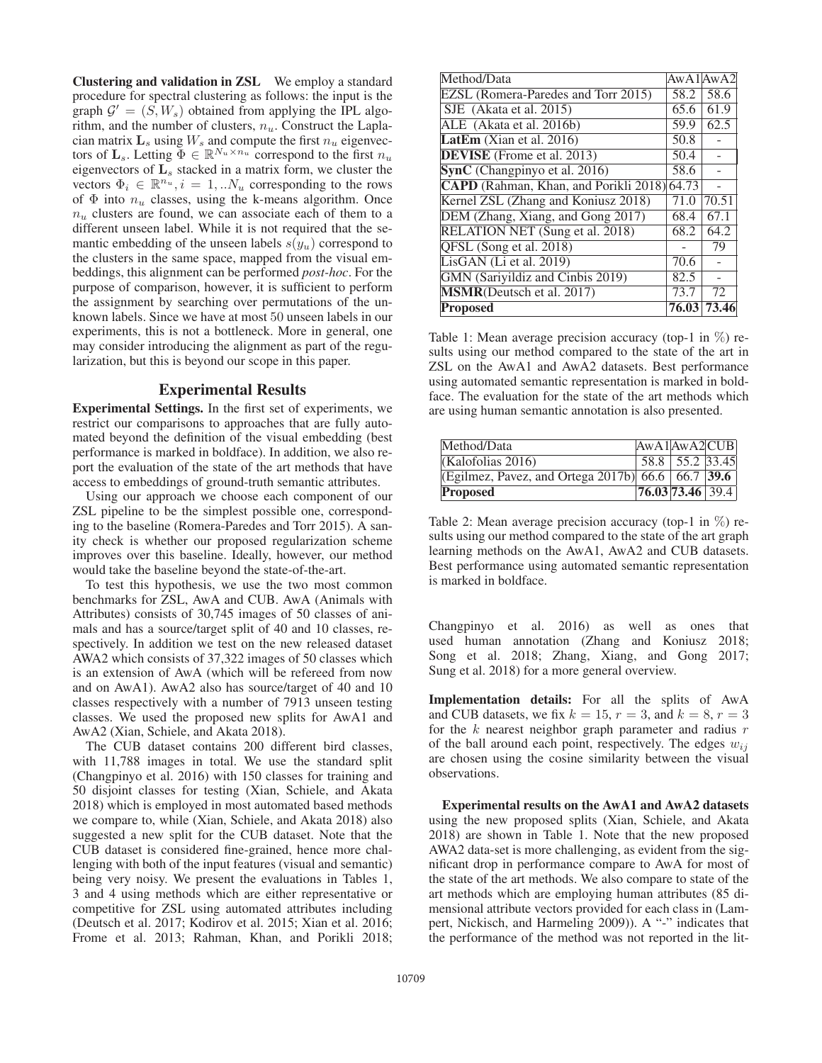Clustering and validation in ZSL We employ a standard procedure for spectral clustering as follows: the input is the graph  $\mathcal{G}' = (S, W_s)$  obtained from applying the IPL algorithm, and the number of clusters,  $n_u$ . Construct the Laplacian matrix  $\mathbf{L}_s$  using  $W_s$  and compute the first  $n_u$  eigenvectors of  $\mathbf{L}_s$ . Letting  $\Phi \in \mathbb{R}^{N_u \times n_u}$  correspond to the first  $n_u$ eigenvectors of **L**<sup>s</sup> stacked in a matrix form, we cluster the vectors  $\Phi_i \in \mathbb{R}^{n_u}, i = 1, ...N_u$  corresponding to the rows of  $\Phi$  into  $n_u$  classes, using the k-means algorithm. Once  $n_u$  clusters are found, we can associate each of them to a different unseen label. While it is not required that the semantic embedding of the unseen labels  $s(y_u)$  correspond to the clusters in the same space, mapped from the visual embeddings, this alignment can be performed *post-hoc*. For the purpose of comparison, however, it is sufficient to perform the assignment by searching over permutations of the unknown labels. Since we have at most 50 unseen labels in our experiments, this is not a bottleneck. More in general, one may consider introducing the alignment as part of the regularization, but this is beyond our scope in this paper.

### Experimental Results

Experimental Settings. In the first set of experiments, we restrict our comparisons to approaches that are fully automated beyond the definition of the visual embedding (best performance is marked in boldface). In addition, we also report the evaluation of the state of the art methods that have access to embeddings of ground-truth semantic attributes.

Using our approach we choose each component of our ZSL pipeline to be the simplest possible one, corresponding to the baseline (Romera-Paredes and Torr 2015). A sanity check is whether our proposed regularization scheme improves over this baseline. Ideally, however, our method would take the baseline beyond the state-of-the-art.

To test this hypothesis, we use the two most common benchmarks for ZSL, AwA and CUB. AwA (Animals with Attributes) consists of 30,745 images of 50 classes of animals and has a source/target split of 40 and 10 classes, respectively. In addition we test on the new released dataset AWA2 which consists of 37,322 images of 50 classes which is an extension of AwA (which will be refereed from now and on AwA1). AwA2 also has source/target of 40 and 10 classes respectively with a number of 7913 unseen testing classes. We used the proposed new splits for AwA1 and AwA2 (Xian, Schiele, and Akata 2018).

The CUB dataset contains 200 different bird classes, with 11,788 images in total. We use the standard split (Changpinyo et al. 2016) with 150 classes for training and 50 disjoint classes for testing (Xian, Schiele, and Akata 2018) which is employed in most automated based methods we compare to, while (Xian, Schiele, and Akata 2018) also suggested a new split for the CUB dataset. Note that the CUB dataset is considered fine-grained, hence more challenging with both of the input features (visual and semantic) being very noisy. We present the evaluations in Tables 1, 3 and 4 using methods which are either representative or competitive for ZSL using automated attributes including (Deutsch et al. 2017; Kodirov et al. 2015; Xian et al. 2016; Frome et al. 2013; Rahman, Khan, and Porikli 2018;

| Method/Data                                 | A wA1 A wA2 |       |
|---------------------------------------------|-------------|-------|
| EZSL (Romera-Paredes and Torr 2015)         | 58.2        | 58.6  |
| SJE (Akata et al. 2015)                     | 65.6        | 61.9  |
| ALE (Akata et al. 2016b)                    | 59.9        | 62.5  |
| LatEm (Xian et al. $2016$ )                 | 50.8        |       |
| <b>DEVISE</b> (Frome et al. 2013)           | 50.4        |       |
| SynC (Changpinyo et al. 2016)               | 58.6        |       |
| CAPD (Rahman, Khan, and Porikli 2018) 64.73 |             |       |
| Kernel ZSL (Zhang and Koniusz 2018)         | 71.0        | 70.51 |
| DEM (Zhang, Xiang, and Gong 2017)           | 68.4        | 67.1  |
| <b>RELATION NET (Sung et al. 2018)</b>      | 68.2        | 64.2  |
| QFSL (Song et al. 2018)                     |             | 79    |
| LisGAN (Li et al. 2019)                     | 70.6        |       |
| GMN (Sariyildiz and Cinbis 2019)            | 82.5        |       |
| <b>MSMR</b> (Deutsch et al. 2017)           | 73.7        | 72    |
| <b>Proposed</b>                             | 76.03       | 73.46 |

Table 1: Mean average precision accuracy (top-1 in  $\%$ ) results using our method compared to the state of the art in ZSL on the AwA1 and AwA2 datasets. Best performance using automated semantic representation is marked in boldface. The evaluation for the state of the art methods which are using human semantic annotation is also presented.

| Method/Data                                       | AwA1AwA2CUB       |                 |  |
|---------------------------------------------------|-------------------|-----------------|--|
| (Kalofolias 2016)                                 |                   | 58.8 55.2 33.45 |  |
| (Egilmez, Pavez, and Ortega 2017b) 66.6 66.7 39.6 |                   |                 |  |
| <b>Proposed</b>                                   | $76.0373.46$ 39.4 |                 |  |

Table 2: Mean average precision accuracy (top-1 in %) results using our method compared to the state of the art graph learning methods on the AwA1, AwA2 and CUB datasets. Best performance using automated semantic representation is marked in boldface.

Changpinyo et al. 2016) as well as ones that used human annotation (Zhang and Koniusz 2018; Song et al. 2018; Zhang, Xiang, and Gong 2017; Sung et al. 2018) for a more general overview.

Implementation details: For all the splits of AwA and CUB datasets, we fix  $k = 15$ ,  $r = 3$ , and  $k = 8$ ,  $r = 3$ for the  $k$  nearest neighbor graph parameter and radius  $r$ of the ball around each point, respectively. The edges  $w_{ij}$ are chosen using the cosine similarity between the visual observations.

Experimental results on the AwA1 and AwA2 datasets using the new proposed splits (Xian, Schiele, and Akata 2018) are shown in Table 1. Note that the new proposed AWA2 data-set is more challenging, as evident from the significant drop in performance compare to AwA for most of the state of the art methods. We also compare to state of the art methods which are employing human attributes (85 dimensional attribute vectors provided for each class in (Lampert, Nickisch, and Harmeling 2009)). A "-" indicates that the performance of the method was not reported in the lit-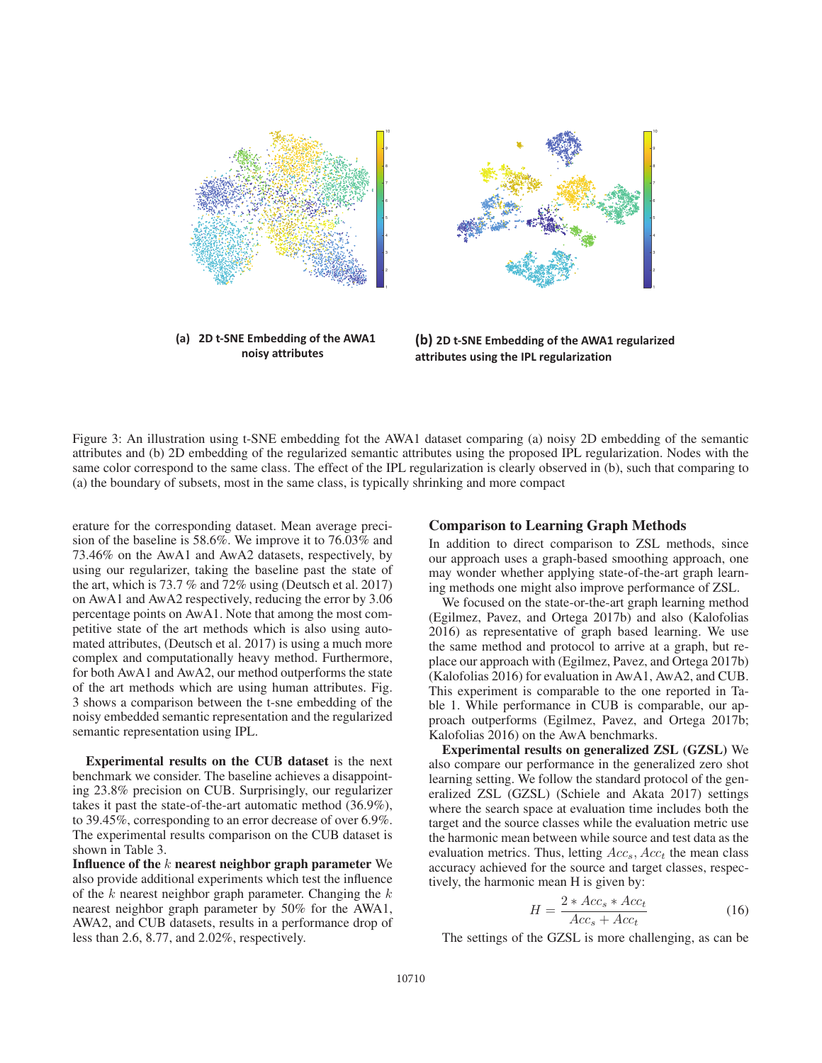

noisy attributes

(b) 2D t-SNE Embedding of the AWA1 regularized attributes using the IPL regularization

Figure 3: An illustration using t-SNE embedding fot the AWA1 dataset comparing (a) noisy 2D embedding of the semantic attributes and (b) 2D embedding of the regularized semantic attributes using the proposed IPL regularization. Nodes with the same color correspond to the same class. The effect of the IPL regularization is clearly observed in (b), such that comparing to (a) the boundary of subsets, most in the same class, is typically shrinking and more compact

erature for the corresponding dataset. Mean average precision of the baseline is 58.6%. We improve it to 76.03% and 73.46% on the AwA1 and AwA2 datasets, respectively, by using our regularizer, taking the baseline past the state of the art, which is 73.7 % and 72% using (Deutsch et al. 2017) on AwA1 and AwA2 respectively, reducing the error by 3.06 percentage points on AwA1. Note that among the most competitive state of the art methods which is also using automated attributes, (Deutsch et al. 2017) is using a much more complex and computationally heavy method. Furthermore, for both AwA1 and AwA2, our method outperforms the state of the art methods which are using human attributes. Fig. 3 shows a comparison between the t-sne embedding of the noisy embedded semantic representation and the regularized semantic representation using IPL.

Experimental results on the CUB dataset is the next benchmark we consider. The baseline achieves a disappointing 23.8% precision on CUB. Surprisingly, our regularizer takes it past the state-of-the-art automatic method (36.9%), to 39.45%, corresponding to an error decrease of over 6.9%. The experimental results comparison on the CUB dataset is shown in Table 3.

Influence of the  $k$  nearest neighbor graph parameter We also provide additional experiments which test the influence of the  $k$  nearest neighbor graph parameter. Changing the  $k$ nearest neighbor graph parameter by 50% for the AWA1, AWA2, and CUB datasets, results in a performance drop of less than 2.6, 8.77, and 2.02%, respectively.

## Comparison to Learning Graph Methods

In addition to direct comparison to ZSL methods, since our approach uses a graph-based smoothing approach, one may wonder whether applying state-of-the-art graph learning methods one might also improve performance of ZSL.

3

We focused on the state-or-the-art graph learning method (Egilmez, Pavez, and Ortega 2017b) and also (Kalofolias 2016) as representative of graph based learning. We use the same method and protocol to arrive at a graph, but replace our approach with (Egilmez, Pavez, and Ortega 2017b) (Kalofolias 2016) for evaluation in AwA1, AwA2, and CUB. This experiment is comparable to the one reported in Table 1. While performance in CUB is comparable, our approach outperforms (Egilmez, Pavez, and Ortega 2017b; Kalofolias 2016) on the AwA benchmarks.

Experimental results on generalized ZSL (GZSL) We also compare our performance in the generalized zero shot learning setting. We follow the standard protocol of the generalized ZSL (GZSL) (Schiele and Akata 2017) settings where the search space at evaluation time includes both the target and the source classes while the evaluation metric use the harmonic mean between while source and test data as the evaluation metrics. Thus, letting  $Acc<sub>s</sub>$ ,  $Acc<sub>t</sub>$  the mean class accuracy achieved for the source and target classes, respectively, the harmonic mean H is given by:

$$
H = \frac{2 * Acc_s * Acc_t}{Acc_s + Acc_t}
$$
 (16)

The settings of the GZSL is more challenging, as can be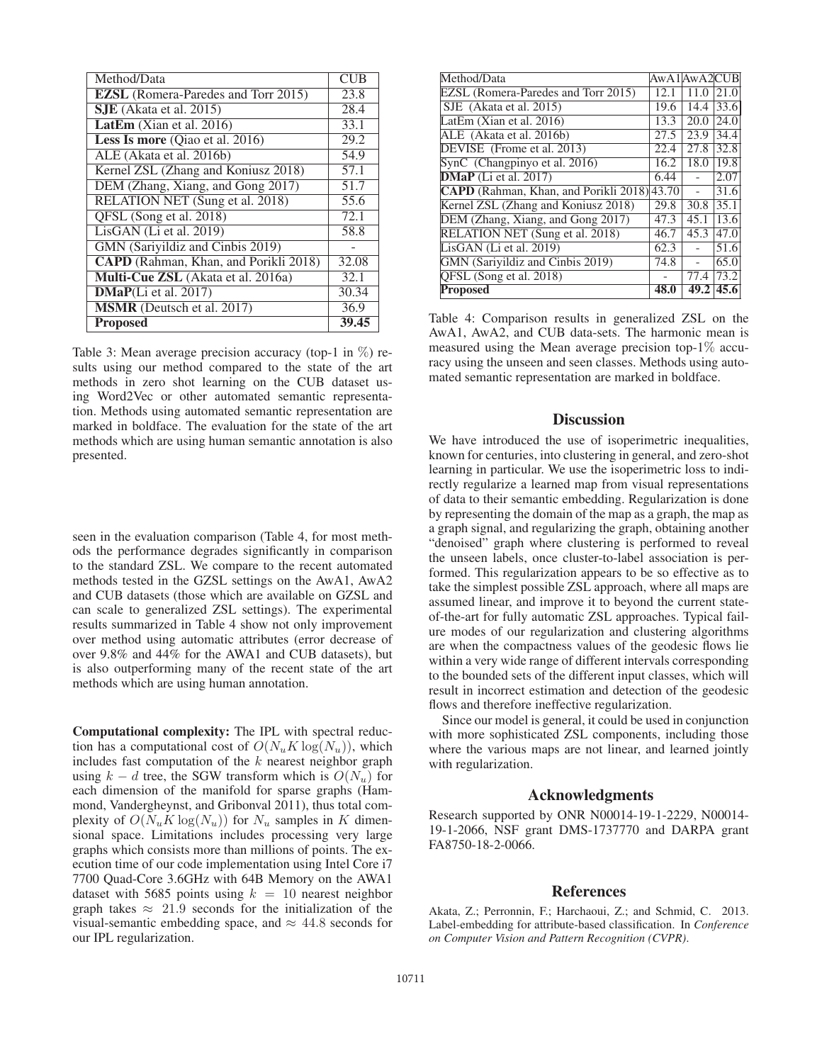| Method/Data                                  | <b>CUB</b> |
|----------------------------------------------|------------|
| <b>EZSL</b> (Romera-Paredes and Torr 2015)   | 23.8       |
| $SJE$ (Akata et al. 2015)                    | 28.4       |
| LatEm (Xian et al. 2016)                     | 33.1       |
| Less Is more (Qiao et al. 2016)              | 29.2       |
| ALE (Akata et al. 2016b)                     | 54.9       |
| Kernel ZSL (Zhang and Koniusz 2018)          | 57.1       |
| DEM (Zhang, Xiang, and Gong 2017)            | 51.7       |
| RELATION NET (Sung et al. 2018)              | 55.6       |
| QFSL (Song et al. 2018)                      | 72.1       |
| LisGAN (Li et al. 2019)                      | 58.8       |
| GMN (Sariyildiz and Cinbis 2019)             |            |
| <b>CAPD</b> (Rahman, Khan, and Porikli 2018) | 32.08      |
| Multi-Cue ZSL (Akata et al. 2016a)           | 32.1       |
| DMaP(Li et al. 2017)                         | 30.34      |
| <b>MSMR</b> (Deutsch et al. 2017)            | 36.9       |
| <b>Proposed</b>                              | 39.45      |

Table 3: Mean average precision accuracy (top-1 in  $\%$ ) results using our method compared to the state of the art methods in zero shot learning on the CUB dataset using Word2Vec or other automated semantic representation. Methods using automated semantic representation are marked in boldface. The evaluation for the state of the art methods which are using human semantic annotation is also presented.

seen in the evaluation comparison (Table 4, for most methods the performance degrades significantly in comparison to the standard ZSL. We compare to the recent automated methods tested in the GZSL settings on the AwA1, AwA2 and CUB datasets (those which are available on GZSL and can scale to generalized ZSL settings). The experimental results summarized in Table 4 show not only improvement over method using automatic attributes (error decrease of over 9.8% and 44% for the AWA1 and CUB datasets), but is also outperforming many of the recent state of the art methods which are using human annotation.

Computational complexity: The IPL with spectral reduction has a computational cost of  $O(N_u K \log(N_u))$ , which includes fast computation of the  $k$  nearest neighbor graph using  $k - d$  tree, the SGW transform which is  $O(N_u)$  for each dimension of the manifold for sparse graphs (Hammond, Vandergheynst, and Gribonval 2011), thus total complexity of  $O(N_u K \log(N_u))$  for  $N_u$  samples in K dimensional space. Limitations includes processing very large graphs which consists more than millions of points. The execution time of our code implementation using Intel Core i7 7700 Quad-Core 3.6GHz with 64B Memory on the AWA1 dataset with 5685 points using  $k = 10$  nearest neighbor graph takes  $\approx$  21.9 seconds for the initialization of the visual-semantic embedding space, and  $\approx$  44.8 seconds for our IPL regularization.

| Method/Data                                 | AwA1AwA2CUB |      |      |
|---------------------------------------------|-------------|------|------|
| EZSL (Romera-Paredes and Torr 2015)         | 12.1        | 11.0 | 21.0 |
| SJE (Akata et al. 2015)                     | 19.6        | 14.4 | 33.6 |
| LatEm (Xian et al. $2016$ )                 | 13.3        | 20.0 | 24.0 |
| ALE (Akata et al. 2016b)                    | 27.5        | 23.9 | 34.4 |
| DEVISE (Frome et al. 2013)                  | 22.4        | 27.8 | 32.8 |
| SynC (Changpinyo et al. 2016)               | 16.2        | 18.0 | 19.8 |
| $DMaP$ (Li et al. 2017)                     | 6.44        |      | 2.07 |
| CAPD (Rahman, Khan, and Porikli 2018) 43.70 |             |      | 31.6 |
| Kernel ZSL (Zhang and Koniusz 2018)         | 29.8        | 30.8 | 35.1 |
| DEM (Zhang, Xiang, and Gong 2017)           | 47.3        | 45.1 | 13.6 |
| RELATION NET (Sung et al. 2018)             | 46.7        | 45.3 | 47.0 |
| $LisGAN$ (Li et al. 2019)                   | 62.3        |      | 51.6 |
| GMN (Sarivildiz and Cinbis 2019)            | 74.8        |      | 65.0 |
| QFSL (Song et al. 2018)                     |             | 77.4 | 73.2 |
| <b>Proposed</b>                             | 48.0        | 49.2 | 45.6 |

Table 4: Comparison results in generalized ZSL on the AwA1, AwA2, and CUB data-sets. The harmonic mean is measured using the Mean average precision top-1% accuracy using the unseen and seen classes. Methods using automated semantic representation are marked in boldface.

# **Discussion**

We have introduced the use of isoperimetric inequalities, known for centuries, into clustering in general, and zero-shot learning in particular. We use the isoperimetric loss to indirectly regularize a learned map from visual representations of data to their semantic embedding. Regularization is done by representing the domain of the map as a graph, the map as a graph signal, and regularizing the graph, obtaining another "denoised" graph where clustering is performed to reveal the unseen labels, once cluster-to-label association is performed. This regularization appears to be so effective as to take the simplest possible ZSL approach, where all maps are assumed linear, and improve it to beyond the current stateof-the-art for fully automatic ZSL approaches. Typical failure modes of our regularization and clustering algorithms are when the compactness values of the geodesic flows lie within a very wide range of different intervals corresponding to the bounded sets of the different input classes, which will result in incorrect estimation and detection of the geodesic flows and therefore ineffective regularization.

Since our model is general, it could be used in conjunction with more sophisticated ZSL components, including those where the various maps are not linear, and learned jointly with regularization.

## Acknowledgments

Research supported by ONR N00014-19-1-2229, N00014- 19-1-2066, NSF grant DMS-1737770 and DARPA grant FA8750-18-2-0066.

## References

Akata, Z.; Perronnin, F.; Harchaoui, Z.; and Schmid, C. 2013. Label-embedding for attribute-based classification. In *Conference on Computer Vision and Pattern Recognition (CVPR)*.